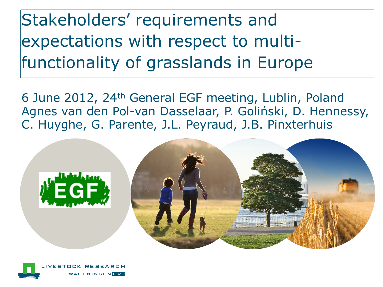Stakeholders' requirements and expectations with respect to multifunctionality of grasslands in Europe

6 June 2012, 24th General EGF meeting, Lublin, Poland Agnes van den Pol-van Dasselaar, P. Goliński, D. Hennessy, C. Huyghe, G. Parente, J.L. Peyraud, J.B. Pinxterhuis



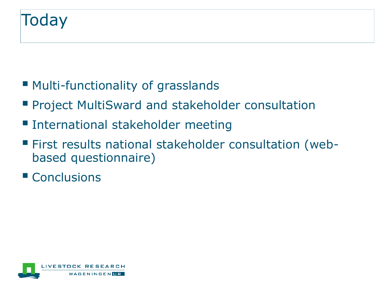- Multi-functionality of grasslands
- **Project MultiSward and stakeholder consultation**
- **International stakeholder meeting**
- First results national stakeholder consultation (webbased questionnaire)
- Conclusions

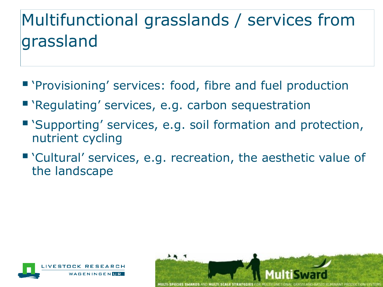# Multifunctional grasslands / services from grassland

- **"** 'Provisioning' services: food, fibre and fuel production
- 'Regulating' services, e.g. carbon sequestration
- 'Supporting' services, e.g. soil formation and protection, nutrient cycling
- 'Cultural' services, e.g. recreation, the aesthetic value of the landscape



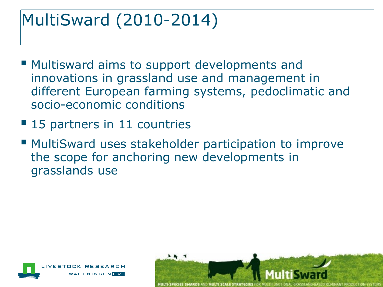## MultiSward (2010-2014)

- **Multisward aims to support developments and** innovations in grassland use and management in different European farming systems, pedoclimatic and socio-economic conditions
- 15 partners in 11 countries
- **MultiSward uses stakeholder participation to improve** the scope for anchoring new developments in grasslands use



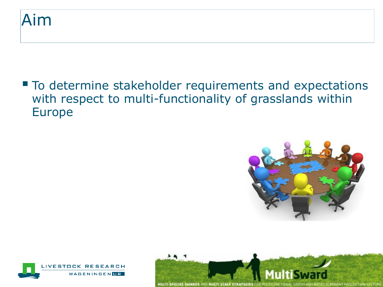#### Aim

■ To determine stakeholder requirements and expectations with respect to multi-functionality of grasslands within Europe





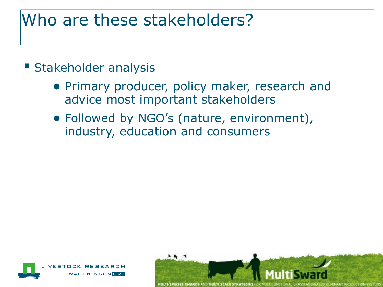### Who are these stakeholders?

#### **Stakeholder analysis**

- Primary producer, policy maker, research and advice most important stakeholders
- Followed by NGO's (nature, environment), industry, education and consumers



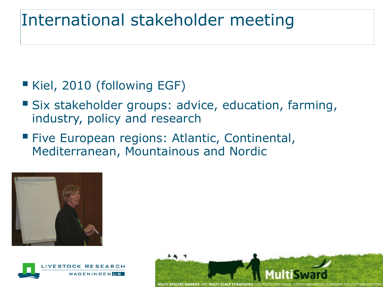### International stakeholder meeting

#### Kiel, 2010 (following EGF)

- Six stakeholder groups: advice, education, farming, industry, policy and research
- **Five European regions: Atlantic, Continental,** Mediterranean, Mountainous and Nordic





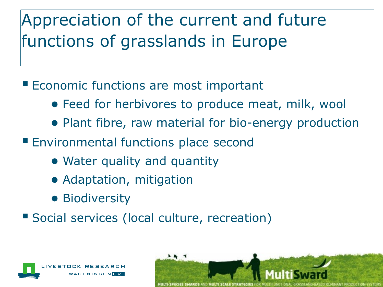# Appreciation of the current and future functions of grasslands in Europe

#### **Economic functions are most important**

- Feed for herbivores to produce meat, milk, wool
- Plant fibre, raw material for bio-energy production
- **Environmental functions place second** 
	- Water quality and quantity
	- Adaptation, mitigation
	- Biodiversity
- Social services (local culture, recreation)



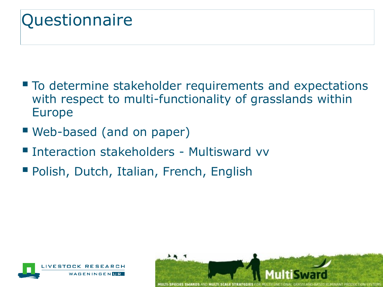## **Questionnaire**

- To determine stakeholder requirements and expectations with respect to multi-functionality of grasslands within Europe
- Web-based (and on paper)
- **Interaction stakeholders Multisward vv**
- **Polish, Dutch, Italian, French, English**



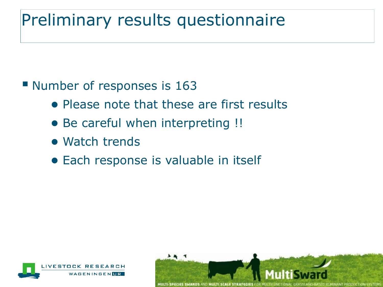## Preliminary results questionnaire

**Number of responses is 163** 

- Please note that these are first results
- Be careful when interpreting !!
- Watch trends
- Each response is valuable in itself



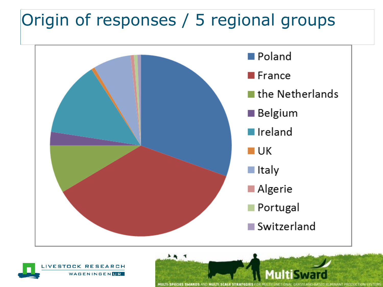## Origin of responses / 5 regional groups





ANT PRODUCTION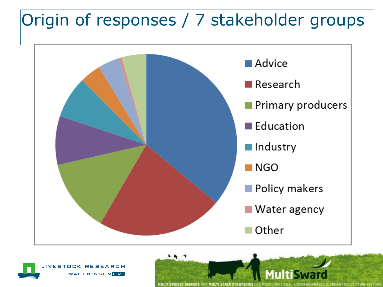### Origin of responses / 7 stakeholder groups



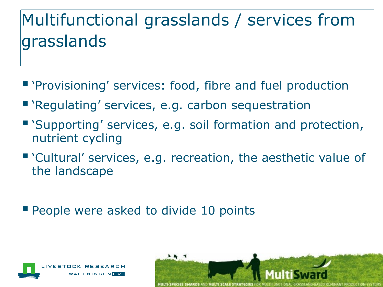# Multifunctional grasslands / services from grasslands

- **"** 'Provisioning' services: food, fibre and fuel production
- 'Regulating' services, e.g. carbon sequestration
- 'Supporting' services, e.g. soil formation and protection, nutrient cycling
- 'Cultural' services, e.g. recreation, the aesthetic value of the landscape
- **People were asked to divide 10 points**



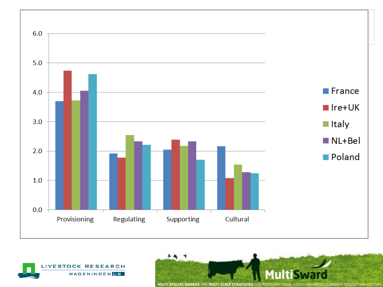



MULTI-SPECIES SWARDS AND MULTI SCALE STRA **D RUMINANT PRODUCTION SYSTEMS** 

77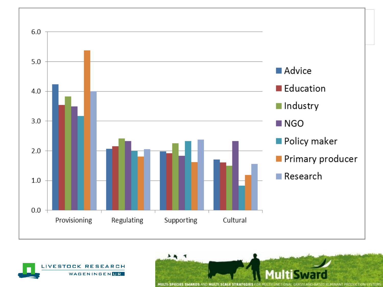

 $\overline{\phantom{a}}$ 



MULTI-SPECIES SWARDS AND MULTI SCALE STRA UMINANT PRODUCTION SYSTEM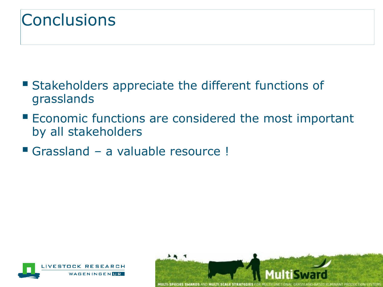## **Conclusions**

- **Stakeholders appreciate the different functions of** grasslands
- **Economic functions are considered the most important** by all stakeholders
- Grassland a valuable resource !



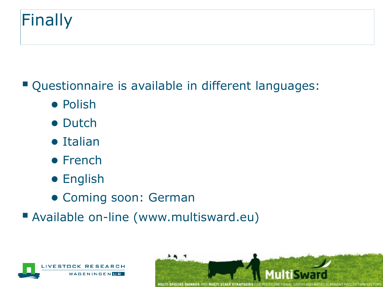# Finally

#### Questionnaire is available in different languages:

- Polish
- Dutch
- Italian
- French
- English
- Coming soon: German
- Available on-line (www.multisward.eu)